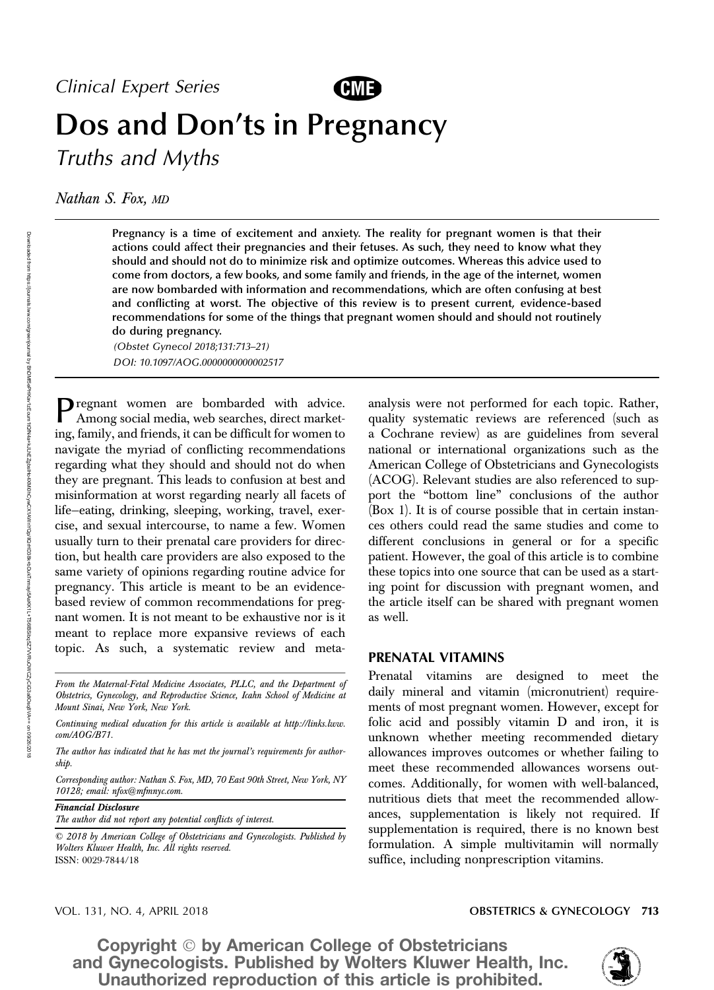

# Dos and Don'ts in Pregnancy

Truths and Myths

# Nathan S. Fox, MD

Pregnancy is a time of excitement and anxiety. The reality for pregnant women is that their actions could affect their pregnancies and their fetuses. As such, they need to know what they should and should not do to minimize risk and optimize outcomes. Whereas this advice used to come from doctors, a few books, and some family and friends, in the age of the internet, women are now bombarded with information and recommendations, which are often confusing at best and conflicting at worst. The objective of this review is to present current, evidence-based recommendations for some of the things that pregnant women should and should not routinely do during pregnancy.

(Obstet Gynecol 2018;131:713–21) DOI: 10.1097/AOG.0000000000002517

Pregnant women are bombarded with advice. Among social media, web searches, direct marketing, family, and friends, it can be difficult for women to navigate the myriad of conflicting recommendations regarding what they should and should not do when they are pregnant. This leads to confusion at best and misinformation at worst regarding nearly all facets of life—eating, drinking, sleeping, working, travel, exercise, and sexual intercourse, to name a few. Women usually turn to their prenatal care providers for direction, but health care providers are also exposed to the same variety of opinions regarding routine advice for pregnancy. This article is meant to be an evidencebased review of common recommendations for pregnant women. It is not meant to be exhaustive nor is it meant to replace more expansive reviews of each topic. As such, a systematic review and meta-

From the Maternal-Fetal Medicine Associates, PLLC, and the Department of Obstetrics, Gynecology, and Reproductive Science, Icahn School of Medicine at Mount Sinai, New York, New York.

Continuing medical education for this article is available at [http://links.lww.](http://links.lww.com/AOG/B71) [com/AOG/B71](http://links.lww.com/AOG/B71).

The author has indicated that he has met the journal's requirements for authorship.

Corresponding author: Nathan S. Fox, MD, 70 East 90th Street, New York, NY 10128; email: nfox@mfmnyc.com.

Financial Disclosure The author did not report any potential conflicts of interest.

© 2018 by American College of Obstetricians and Gynecologists. Published by Wolters Kluwer Health, Inc. All rights reserved. ISSN: 0029-7844/18

analysis were not performed for each topic. Rather, quality systematic reviews are referenced (such as a Cochrane review) as are guidelines from several national or international organizations such as the American College of Obstetricians and Gynecologists (ACOG). Relevant studies are also referenced to support the "bottom line" conclusions of the author (Box 1). It is of course possible that in certain instances others could read the same studies and come to different conclusions in general or for a specific patient. However, the goal of this article is to combine these topics into one source that can be used as a starting point for discussion with pregnant women, and the article itself can be shared with pregnant women as well.

### PRENATAL VITAMINS

Prenatal vitamins are designed to meet the daily mineral and vitamin (micronutrient) requirements of most pregnant women. However, except for folic acid and possibly vitamin D and iron, it is unknown whether meeting recommended dietary allowances improves outcomes or whether failing to meet these recommended allowances worsens outcomes. Additionally, for women with well-balanced, nutritious diets that meet the recommended allowances, supplementation is likely not required. If supplementation is required, there is no known best formulation. A simple multivitamin will normally suffice, including nonprescription vitamins.

#### VOL. 131, NO. 4, APRIL 2018 **CONTRACTERICS AREA** OBSTETRICS & GYNECOLOGY 713

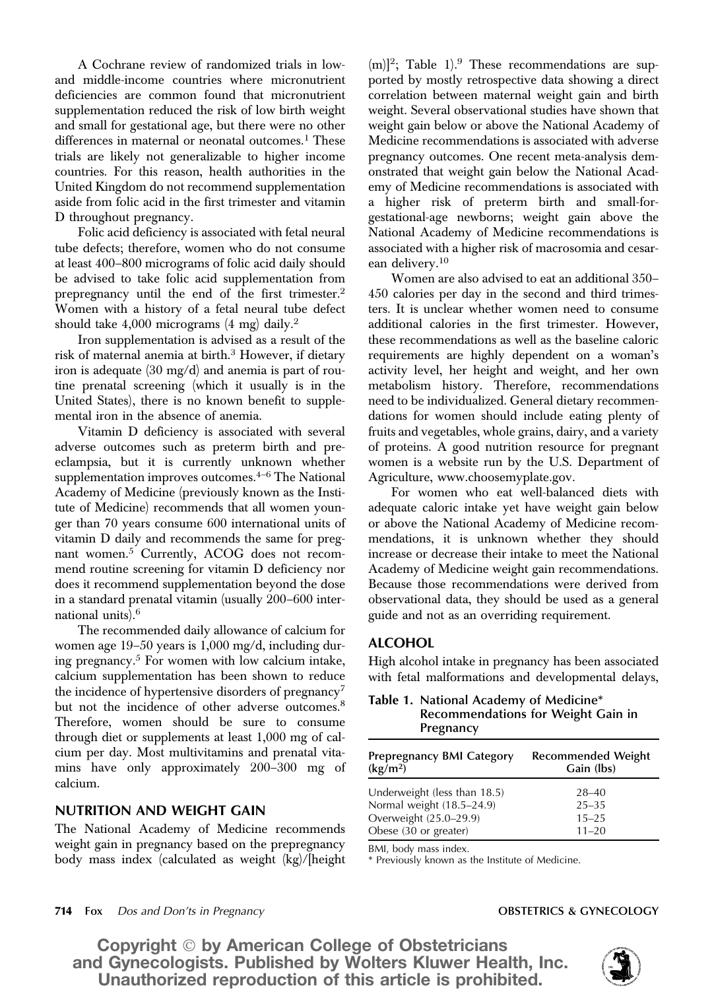A Cochrane review of randomized trials in lowand middle-income countries where micronutrient deficiencies are common found that micronutrient supplementation reduced the risk of low birth weight and small for gestational age, but there were no other differences in maternal or neonatal outcomes.<sup>1</sup> These trials are likely not generalizable to higher income countries. For this reason, health authorities in the United Kingdom do not recommend supplementation aside from folic acid in the first trimester and vitamin D throughout pregnancy.

Folic acid deficiency is associated with fetal neural tube defects; therefore, women who do not consume at least 400–800 micrograms of folic acid daily should be advised to take folic acid supplementation from prepregnancy until the end of the first trimester.2 Women with a history of a fetal neural tube defect should take  $4,000$  micrograms  $(4 \text{ mg})$  daily.<sup>2</sup>

Iron supplementation is advised as a result of the risk of maternal anemia at birth.<sup>3</sup> However, if dietary iron is adequate (30 mg/d) and anemia is part of routine prenatal screening (which it usually is in the United States), there is no known benefit to supplemental iron in the absence of anemia.

Vitamin D deficiency is associated with several adverse outcomes such as preterm birth and preeclampsia, but it is currently unknown whether supplementation improves outcomes. $4-6$  The National Academy of Medicine (previously known as the Institute of Medicine) recommends that all women younger than 70 years consume 600 international units of vitamin D daily and recommends the same for pregnant women.<sup>5</sup> Currently, ACOG does not recommend routine screening for vitamin D deficiency nor does it recommend supplementation beyond the dose in a standard prenatal vitamin (usually 200–600 international units).6

The recommended daily allowance of calcium for women age 19–50 years is 1,000 mg/d, including during pregnancy.<sup>5</sup> For women with low calcium intake, calcium supplementation has been shown to reduce the incidence of hypertensive disorders of pregnancy<sup>7</sup> but not the incidence of other adverse outcomes.<sup>8</sup> Therefore, women should be sure to consume through diet or supplements at least 1,000 mg of calcium per day. Most multivitamins and prenatal vitamins have only approximately 200–300 mg of calcium.

#### NUTRITION AND WEIGHT GAIN

The National Academy of Medicine recommends weight gain in pregnancy based on the prepregnancy body mass index (calculated as weight (kg)/[height  $(m)$ <sup>2</sup>; Table 1).<sup>9</sup> These recommendations are supported by mostly retrospective data showing a direct correlation between maternal weight gain and birth weight. Several observational studies have shown that weight gain below or above the National Academy of Medicine recommendations is associated with adverse pregnancy outcomes. One recent meta-analysis demonstrated that weight gain below the National Academy of Medicine recommendations is associated with a higher risk of preterm birth and small-forgestational-age newborns; weight gain above the National Academy of Medicine recommendations is associated with a higher risk of macrosomia and cesarean delivery.<sup>10</sup>

Women are also advised to eat an additional 350– 450 calories per day in the second and third trimesters. It is unclear whether women need to consume additional calories in the first trimester. However, these recommendations as well as the baseline caloric requirements are highly dependent on a woman's activity level, her height and weight, and her own metabolism history. Therefore, recommendations need to be individualized. General dietary recommendations for women should include eating plenty of fruits and vegetables, whole grains, dairy, and a variety of proteins. A good nutrition resource for pregnant women is a website run by the U.S. Department of Agriculture, [www.choosemyplate.gov](http://www.choosemyplate.gov/).

For women who eat well-balanced diets with adequate caloric intake yet have weight gain below or above the National Academy of Medicine recommendations, it is unknown whether they should increase or decrease their intake to meet the National Academy of Medicine weight gain recommendations. Because those recommendations were derived from observational data, they should be used as a general guide and not as an overriding requirement.

### ALCOHOL

High alcohol intake in pregnancy has been associated with fetal malformations and developmental delays,

Table 1. National Academy of Medicine\* Recommendations for Weight Gain in Pregnancy

| Prepregnancy BMI Category<br>(kg/m <sup>2</sup> ) | Recommended Weight<br>Gain (lbs) |
|---------------------------------------------------|----------------------------------|
| Underweight (less than 18.5)                      | 28-40                            |
| Normal weight (18.5-24.9)                         | $25 - 35$                        |
| Overweight (25.0-29.9)                            | $15 - 25$                        |
| Obese (30 or greater)                             | $11 - 20$                        |

BMI, body mass index.

\* Previously known as the Institute of Medicine.

#### 714 Fox Dos and Don'ts in Pregnancy **Contains a Container Container Container Container Container Container Container**

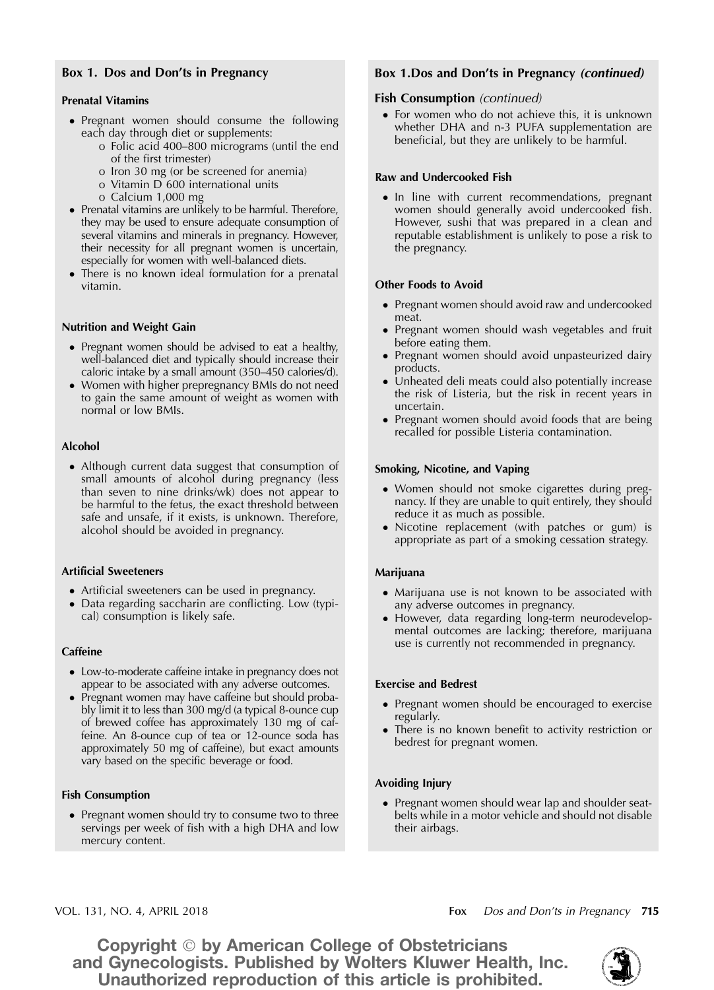# Box 1. Dos and Don'ts in Pregnancy

#### Prenatal Vitamins

- Pregnant women should consume the following each day through diet or supplements:
	- o Folic acid 400–800 micrograms (until the end of the first trimester)
	- o Iron 30 mg (or be screened for anemia)
	- o Vitamin D 600 international units
	- o Calcium 1,000 mg
- Prenatal vitamins are unlikely to be harmful. Therefore, they may be used to ensure adequate consumption of several vitamins and minerals in pregnancy. However, their necessity for all pregnant women is uncertain, especially for women with well-balanced diets.
- There is no known ideal formulation for a prenatal vitamin.

#### Nutrition and Weight Gain

- Pregnant women should be advised to eat a healthy, well-balanced diet and typically should increase their caloric intake by a small amount (350–450 calories/d).
- Women with higher prepregnancy BMIs do not need to gain the same amount of weight as women with normal or low BMIs.

#### Alcohol

• Although current data suggest that consumption of small amounts of alcohol during pregnancy (less than seven to nine drinks/wk) does not appear to be harmful to the fetus, the exact threshold between safe and unsafe, if it exists, is unknown. Therefore, alcohol should be avoided in pregnancy.

#### Artificial Sweeteners

- Artificial sweeteners can be used in pregnancy.
- ! Data regarding saccharin are conflicting. Low (typical) consumption is likely safe.

#### **Caffeine**

- Low-to-moderate caffeine intake in pregnancy does not appear to be associated with any adverse outcomes.
- Pregnant women may have caffeine but should probably limit it to less than 300 mg/d (a typical 8-ounce cup of brewed coffee has approximately 130 mg of caffeine. An 8-ounce cup of tea or 12-ounce soda has approximately 50 mg of caffeine), but exact amounts vary based on the specific beverage or food.

#### Fish Consumption

• Pregnant women should try to consume two to three servings per week of fish with a high DHA and low mercury content.

#### Box 1.Dos and Don'ts in Pregnancy (continued)

#### Fish Consumption (continued)

• For women who do not achieve this, it is unknown whether DHA and n-3 PUFA supplementation are beneficial, but they are unlikely to be harmful.

#### Raw and Undercooked Fish

• In line with current recommendations, pregnant women should generally avoid undercooked fish. However, sushi that was prepared in a clean and reputable establishment is unlikely to pose a risk to the pregnancy.

#### Other Foods to Avoid

- Pregnant women should avoid raw and undercooked meat.
- Pregnant women should wash vegetables and fruit before eating them.
- Pregnant women should avoid unpasteurized dairy products.
- ! Unheated deli meats could also potentially increase the risk of Listeria, but the risk in recent years in uncertain.
- Pregnant women should avoid foods that are being recalled for possible Listeria contamination.

#### Smoking, Nicotine, and Vaping

- ! Women should not smoke cigarettes during pregnancy. If they are unable to quit entirely, they should reduce it as much as possible.
- Nicotine replacement (with patches or gum) is appropriate as part of a smoking cessation strategy.

#### Marijuana

- Marijuana use is not known to be associated with any adverse outcomes in pregnancy.
- ! However, data regarding long-term neurodevelopmental outcomes are lacking; therefore, marijuana use is currently not recommended in pregnancy.

#### Exercise and Bedrest

- Pregnant women should be encouraged to exercise regularly.
- ! There is no known benefit to activity restriction or bedrest for pregnant women.

#### Avoiding Injury

• Pregnant women should wear lap and shoulder seatbelts while in a motor vehicle and should not disable their airbags.

#### VOL. 131, NO. 4, APRIL 2018 **Fox** Dos and Don'ts in Pregnancy 715

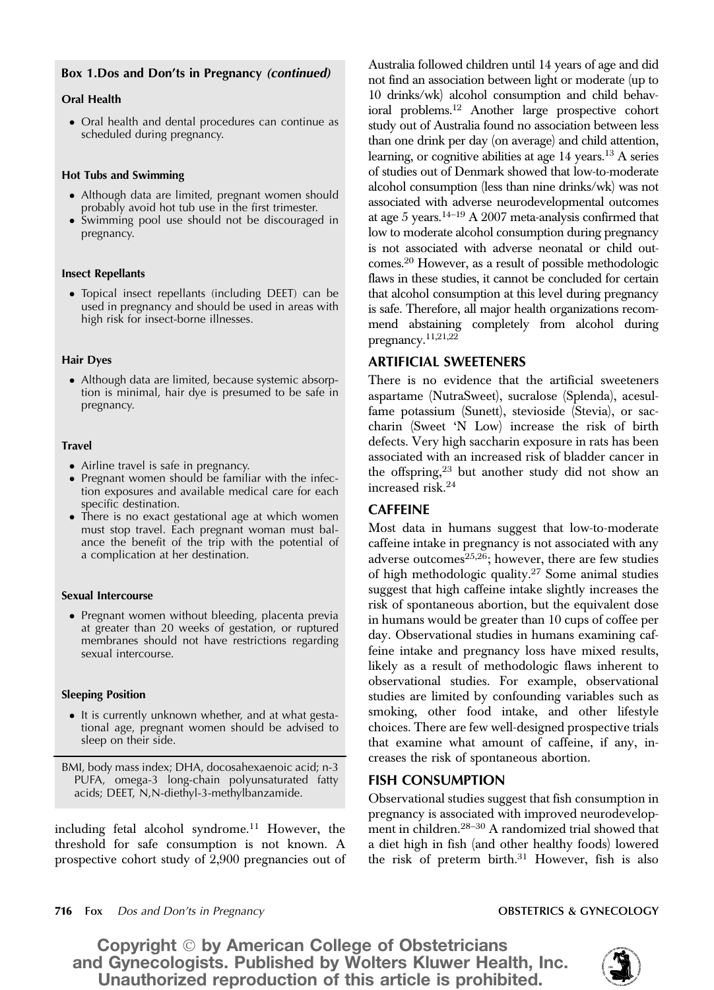#### Box 1.Dos and Don'ts in Pregnancy (continued)

#### Oral Health

• Oral health and dental procedures can continue as scheduled during pregnancy.

#### Hot Tubs and Swimming

- Although data are limited, pregnant women should probably avoid hot tub use in the first trimester.
- Swimming pool use should not be discouraged in pregnancy.

#### Insect Repellants

! Topical insect repellants (including DEET) can be used in pregnancy and should be used in areas with high risk for insect-borne illnesses.

#### Hair Dyes

• Although data are limited, because systemic absorption is minimal, hair dye is presumed to be safe in pregnancy.

#### **Travel**

- Airline travel is safe in pregnancy.
- Pregnant women should be familiar with the infection exposures and available medical care for each specific destination.
- There is no exact gestational age at which women must stop travel. Each pregnant woman must balance the benefit of the trip with the potential of a complication at her destination.

#### Sexual Intercourse

• Pregnant women without bleeding, placenta previa at greater than 20 weeks of gestation, or ruptured membranes should not have restrictions regarding sexual intercourse.

#### Sleeping Position

• It is currently unknown whether, and at what gestational age, pregnant women should be advised to sleep on their side.

BMI, body mass index; DHA, docosahexaenoic acid; n-3 PUFA, omega-3 long-chain polyunsaturated fatty acids; DEET, N,N-diethyl-3-methylbanzamide.

including fetal alcohol syndrome.<sup>11</sup> However, the threshold for safe consumption is not known. A prospective cohort study of 2,900 pregnancies out of

Australia followed children until 14 years of age and did not find an association between light or moderate (up to 10 drinks/wk) alcohol consumption and child behavioral problems.12 Another large prospective cohort study out of Australia found no association between less than one drink per day (on average) and child attention, learning, or cognitive abilities at age 14 years.<sup>13</sup> A series of studies out of Denmark showed that low-to-moderate alcohol consumption (less than nine drinks/wk) was not associated with adverse neurodevelopmental outcomes at age 5 years.<sup>14–19</sup> A 2007 meta-analysis confirmed that low to moderate alcohol consumption during pregnancy is not associated with adverse neonatal or child outcomes.20 However, as a result of possible methodologic flaws in these studies, it cannot be concluded for certain that alcohol consumption at this level during pregnancy is safe. Therefore, all major health organizations recommend abstaining completely from alcohol during pregnancy.<sup>11,21,22</sup>

# ARTIFICIAL SWEETENERS

There is no evidence that the artificial sweeteners aspartame (NutraSweet), sucralose (Splenda), acesulfame potassium (Sunett), stevioside (Stevia), or saccharin (Sweet 'N Low) increase the risk of birth defects. Very high saccharin exposure in rats has been associated with an increased risk of bladder cancer in the offspring,<sup>23</sup> but another study did not show an increased risk.<sup>24</sup>

# **CAFFEINE**

Most data in humans suggest that low-to-moderate caffeine intake in pregnancy is not associated with any adverse outcomes $25,26$ ; however, there are few studies of high methodologic quality.<sup>27</sup> Some animal studies suggest that high caffeine intake slightly increases the risk of spontaneous abortion, but the equivalent dose in humans would be greater than 10 cups of coffee per day. Observational studies in humans examining caffeine intake and pregnancy loss have mixed results, likely as a result of methodologic flaws inherent to observational studies. For example, observational studies are limited by confounding variables such as smoking, other food intake, and other lifestyle choices. There are few well-designed prospective trials that examine what amount of caffeine, if any, increases the risk of spontaneous abortion.

# FISH CONSUMPTION

Observational studies suggest that fish consumption in pregnancy is associated with improved neurodevelopment in children.28–<sup>30</sup> A randomized trial showed that a diet high in fish (and other healthy foods) lowered the risk of preterm birth.<sup>31</sup> However, fish is also

#### 716 Fox Dos and Don'ts in Pregnancy **Contains a COSTETRICS & GYNECOLOGY**

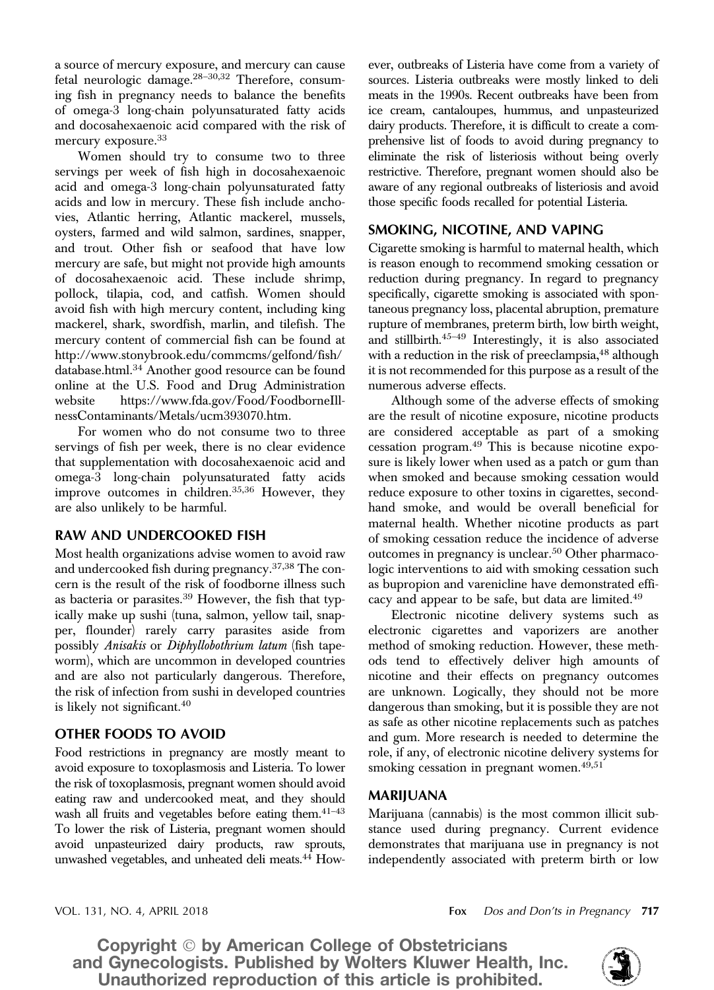a source of mercury exposure, and mercury can cause fetal neurologic damage.28–30,32 Therefore, consuming fish in pregnancy needs to balance the benefits of omega-3 long-chain polyunsaturated fatty acids and docosahexaenoic acid compared with the risk of mercury exposure.<sup>33</sup>

Women should try to consume two to three servings per week of fish high in docosahexaenoic acid and omega-3 long-chain polyunsaturated fatty acids and low in mercury. These fish include anchovies, Atlantic herring, Atlantic mackerel, mussels, oysters, farmed and wild salmon, sardines, snapper, and trout. Other fish or seafood that have low mercury are safe, but might not provide high amounts of docosahexaenoic acid. These include shrimp, pollock, tilapia, cod, and catfish. Women should avoid fish with high mercury content, including king mackerel, shark, swordfish, marlin, and tilefish. The mercury content of commercial fish can be found at [http://www.stonybrook.edu/commcms/gelfond/fish/](http://www.stonybrook.edu/commcms/gelfond/fish/database.html) [database.html](http://www.stonybrook.edu/commcms/gelfond/fish/database.html).<sup>34</sup> Another good resource can be found online at the U.S. Food and Drug Administration website [https://www.fda.gov/Food/FoodborneIll](https://www.fda.gov/Food/FoodborneIllnessContaminants/Metals/ucm393070.htm)[nessContaminants/Metals/ucm393070.htm](https://www.fda.gov/Food/FoodborneIllnessContaminants/Metals/ucm393070.htm).

For women who do not consume two to three servings of fish per week, there is no clear evidence that supplementation with docosahexaenoic acid and omega-3 long-chain polyunsaturated fatty acids improve outcomes in children.<sup>35,36</sup> However, they are also unlikely to be harmful.

# RAW AND UNDERCOOKED FISH

Most health organizations advise women to avoid raw and undercooked fish during pregnancy.37,38 The concern is the result of the risk of foodborne illness such as bacteria or parasites.<sup>39</sup> However, the fish that typically make up sushi (tuna, salmon, yellow tail, snapper, flounder) rarely carry parasites aside from possibly Anisakis or Diphyllobothrium latum (fish tapeworm), which are uncommon in developed countries and are also not particularly dangerous. Therefore, the risk of infection from sushi in developed countries is likely not significant.<sup>40</sup>

#### OTHER FOODS TO AVOID

Food restrictions in pregnancy are mostly meant to avoid exposure to toxoplasmosis and Listeria. To lower the risk of toxoplasmosis, pregnant women should avoid eating raw and undercooked meat, and they should wash all fruits and vegetables before eating them.<sup>41-43</sup> To lower the risk of Listeria, pregnant women should avoid unpasteurized dairy products, raw sprouts, unwashed vegetables, and unheated deli meats.<sup>44</sup> However, outbreaks of Listeria have come from a variety of sources. Listeria outbreaks were mostly linked to deli meats in the 1990s. Recent outbreaks have been from ice cream, cantaloupes, hummus, and unpasteurized dairy products. Therefore, it is difficult to create a comprehensive list of foods to avoid during pregnancy to eliminate the risk of listeriosis without being overly restrictive. Therefore, pregnant women should also be aware of any regional outbreaks of listeriosis and avoid those specific foods recalled for potential Listeria.

#### SMOKING, NICOTINE, AND VAPING

Cigarette smoking is harmful to maternal health, which is reason enough to recommend smoking cessation or reduction during pregnancy. In regard to pregnancy specifically, cigarette smoking is associated with spontaneous pregnancy loss, placental abruption, premature rupture of membranes, preterm birth, low birth weight, and stillbirth.45–<sup>49</sup> Interestingly, it is also associated with a reduction in the risk of preeclampsia,<sup>48</sup> although it is not recommended for this purpose as a result of the numerous adverse effects.

Although some of the adverse effects of smoking are the result of nicotine exposure, nicotine products are considered acceptable as part of a smoking cessation program.<sup>49</sup> This is because nicotine exposure is likely lower when used as a patch or gum than when smoked and because smoking cessation would reduce exposure to other toxins in cigarettes, secondhand smoke, and would be overall beneficial for maternal health. Whether nicotine products as part of smoking cessation reduce the incidence of adverse outcomes in pregnancy is unclear.<sup>50</sup> Other pharmacologic interventions to aid with smoking cessation such as bupropion and varenicline have demonstrated efficacy and appear to be safe, but data are limited.<sup>49</sup>

Electronic nicotine delivery systems such as electronic cigarettes and vaporizers are another method of smoking reduction. However, these methods tend to effectively deliver high amounts of nicotine and their effects on pregnancy outcomes are unknown. Logically, they should not be more dangerous than smoking, but it is possible they are not as safe as other nicotine replacements such as patches and gum. More research is needed to determine the role, if any, of electronic nicotine delivery systems for smoking cessation in pregnant women.<sup>49,51</sup>

#### MARIJUANA

Marijuana (cannabis) is the most common illicit substance used during pregnancy. Current evidence demonstrates that marijuana use in pregnancy is not independently associated with preterm birth or low

VOL. 131, NO. 4, APRIL 2018 **Fox** Dos and Don'ts in Pregnancy 717

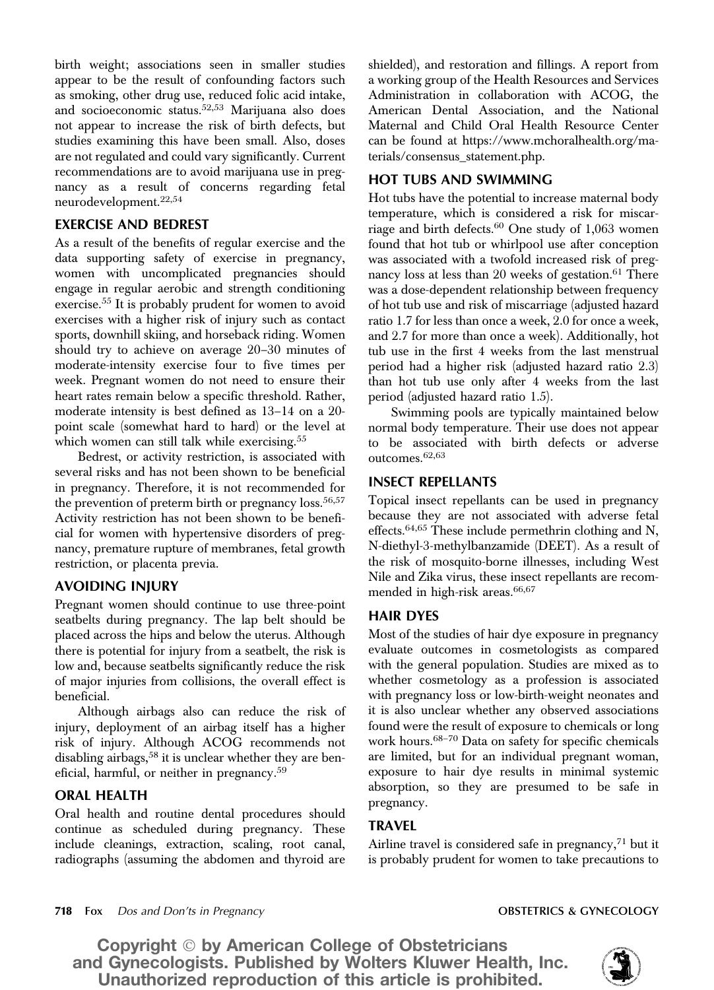birth weight; associations seen in smaller studies appear to be the result of confounding factors such as smoking, other drug use, reduced folic acid intake, and socioeconomic status.52,53 Marijuana also does not appear to increase the risk of birth defects, but studies examining this have been small. Also, doses are not regulated and could vary significantly. Current recommendations are to avoid marijuana use in pregnancy as a result of concerns regarding fetal neurodevelopment.22,54

# EXERCISE AND BEDREST

As a result of the benefits of regular exercise and the data supporting safety of exercise in pregnancy, women with uncomplicated pregnancies should engage in regular aerobic and strength conditioning exercise.<sup>55</sup> It is probably prudent for women to avoid exercises with a higher risk of injury such as contact sports, downhill skiing, and horseback riding. Women should try to achieve on average 20–30 minutes of moderate-intensity exercise four to five times per week. Pregnant women do not need to ensure their heart rates remain below a specific threshold. Rather, moderate intensity is best defined as 13–14 on a 20 point scale (somewhat hard to hard) or the level at which women can still talk while exercising.<sup>55</sup>

Bedrest, or activity restriction, is associated with several risks and has not been shown to be beneficial in pregnancy. Therefore, it is not recommended for the prevention of preterm birth or pregnancy loss.<sup>56,57</sup> Activity restriction has not been shown to be beneficial for women with hypertensive disorders of pregnancy, premature rupture of membranes, fetal growth restriction, or placenta previa.

# AVOIDING INJURY

Pregnant women should continue to use three-point seatbelts during pregnancy. The lap belt should be placed across the hips and below the uterus. Although there is potential for injury from a seatbelt, the risk is low and, because seatbelts significantly reduce the risk of major injuries from collisions, the overall effect is beneficial.

Although airbags also can reduce the risk of injury, deployment of an airbag itself has a higher risk of injury. Although ACOG recommends not disabling airbags,<sup>58</sup> it is unclear whether they are beneficial, harmful, or neither in pregnancy.<sup>59</sup>

# ORAL HEALTH

Oral health and routine dental procedures should continue as scheduled during pregnancy. These include cleanings, extraction, scaling, root canal, radiographs (assuming the abdomen and thyroid are shielded), and restoration and fillings. A report from a working group of the Health Resources and Services Administration in collaboration with ACOG, the American Dental Association, and the National Maternal and Child Oral Health Resource Center can be found at [https://www.mchoralhealth.org/ma](https://www.mchoralhealth.org/materials/consensus_statement.php)[terials/consensus\\_statement.php.](https://www.mchoralhealth.org/materials/consensus_statement.php)

# HOT TUBS AND SWIMMING

Hot tubs have the potential to increase maternal body temperature, which is considered a risk for miscarriage and birth defects.<sup>60</sup> One study of  $1,063$  women found that hot tub or whirlpool use after conception was associated with a twofold increased risk of pregnancy loss at less than 20 weeks of gestation.<sup>61</sup> There was a dose-dependent relationship between frequency of hot tub use and risk of miscarriage (adjusted hazard ratio 1.7 for less than once a week, 2.0 for once a week, and 2.7 for more than once a week). Additionally, hot tub use in the first 4 weeks from the last menstrual period had a higher risk (adjusted hazard ratio 2.3) than hot tub use only after 4 weeks from the last period (adjusted hazard ratio 1.5).

Swimming pools are typically maintained below normal body temperature. Their use does not appear to be associated with birth defects or adverse outcomes.62,63

# INSECT REPELLANTS

Topical insect repellants can be used in pregnancy because they are not associated with adverse fetal effects.<sup>64,65</sup> These include permethrin clothing and N, N-diethyl-3-methylbanzamide (DEET). As a result of the risk of mosquito-borne illnesses, including West Nile and Zika virus, these insect repellants are recommended in high-risk areas.<sup>66,67</sup>

# HAIR DYES

Most of the studies of hair dye exposure in pregnancy evaluate outcomes in cosmetologists as compared with the general population. Studies are mixed as to whether cosmetology as a profession is associated with pregnancy loss or low-birth-weight neonates and it is also unclear whether any observed associations found were the result of exposure to chemicals or long work hours.68–<sup>70</sup> Data on safety for specific chemicals are limited, but for an individual pregnant woman, exposure to hair dye results in minimal systemic absorption, so they are presumed to be safe in pregnancy.

# TRAVEL

Airline travel is considered safe in pregnancy, $71$  but it is probably prudent for women to take precautions to

718 Fox Dos and Don'ts in Pregnancy **Contains a Container Container Container Container Container Container Conta** 

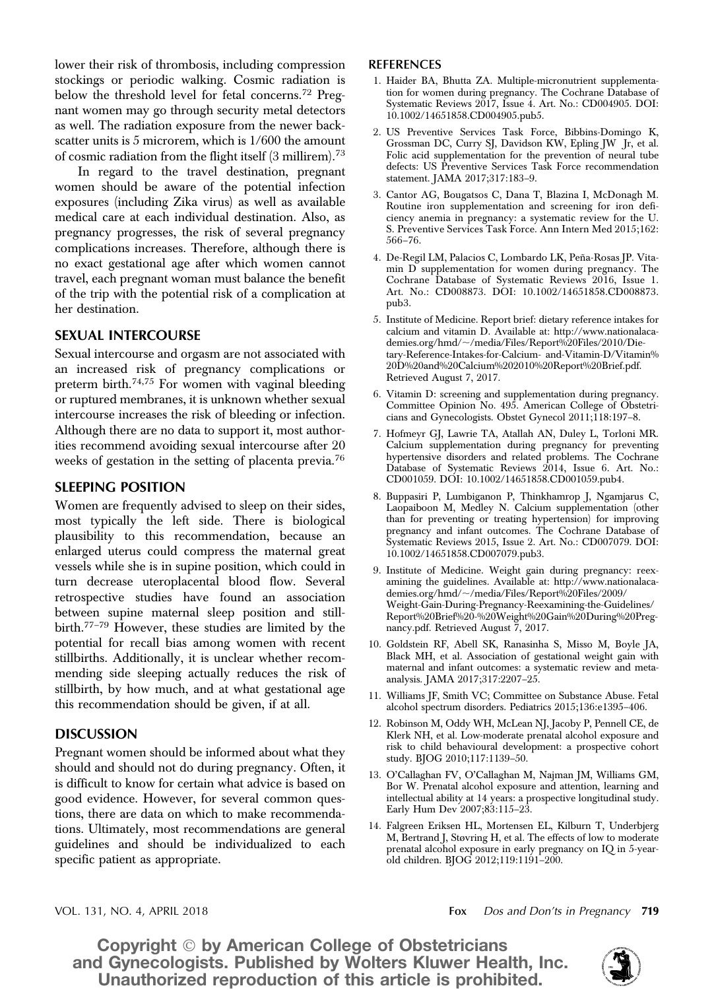lower their risk of thrombosis, including compression stockings or periodic walking. Cosmic radiation is below the threshold level for fetal concerns.<sup>72</sup> Pregnant women may go through security metal detectors as well. The radiation exposure from the newer backscatter units is 5 microrem, which is 1/600 the amount of cosmic radiation from the flight itself (3 millirem).<sup>73</sup>

In regard to the travel destination, pregnant women should be aware of the potential infection exposures (including Zika virus) as well as available medical care at each individual destination. Also, as pregnancy progresses, the risk of several pregnancy complications increases. Therefore, although there is no exact gestational age after which women cannot travel, each pregnant woman must balance the benefit of the trip with the potential risk of a complication at her destination.

# SEXUAL INTERCOURSE

Sexual intercourse and orgasm are not associated with an increased risk of pregnancy complications or preterm birth.<sup>74,75</sup> For women with vaginal bleeding or ruptured membranes, it is unknown whether sexual intercourse increases the risk of bleeding or infection. Although there are no data to support it, most authorities recommend avoiding sexual intercourse after 20 weeks of gestation in the setting of placenta previa.<sup>76</sup>

### SLEEPING POSITION

Women are frequently advised to sleep on their sides, most typically the left side. There is biological plausibility to this recommendation, because an enlarged uterus could compress the maternal great vessels while she is in supine position, which could in turn decrease uteroplacental blood flow. Several retrospective studies have found an association between supine maternal sleep position and stillbirth.77–<sup>79</sup> However, these studies are limited by the potential for recall bias among women with recent stillbirths. Additionally, it is unclear whether recommending side sleeping actually reduces the risk of stillbirth, by how much, and at what gestational age this recommendation should be given, if at all.

#### **DISCUSSION**

Pregnant women should be informed about what they should and should not do during pregnancy. Often, it is difficult to know for certain what advice is based on good evidence. However, for several common questions, there are data on which to make recommendations. Ultimately, most recommendations are general guidelines and should be individualized to each specific patient as appropriate.

#### REFERENCES

- 1. Haider BA, Bhutta ZA. Multiple-micronutrient supplementation for women during pregnancy. The Cochrane Database of Systematic Reviews 2017, Issue 4. Art. No.: CD004905. DOI: 10.1002/14651858.CD004905.pub5.
- 2. US Preventive Services Task Force, Bibbins-Domingo K, Grossman DC, Curry SJ, Davidson KW, Epling JW Jr, et al. Folic acid supplementation for the prevention of neural tube defects: US Preventive Services Task Force recommendation statement. JAMA 2017;317:183–9.
- 3. Cantor AG, Bougatsos C, Dana T, Blazina I, McDonagh M. Routine iron supplementation and screening for iron deficiency anemia in pregnancy: a systematic review for the U. S. Preventive Services Task Force. Ann Intern Med 2015;162: 566–76.
- 4. De-Regil LM, Palacios C, Lombardo LK, Peña-Rosas JP. Vitamin D supplementation for women during pregnancy. The Cochrane Database of Systematic Reviews 2016, Issue 1. Art. No.: CD008873. DOI: 10.1002/14651858.CD008873. pub3.
- 5. Institute of Medicine. Report brief: dietary reference intakes for calcium and vitamin D. Available at: [http://www.nationalaca](http://www.nationalacademies.org/hmd/%7E/media/Files/Report%20Files/2010/Dietary-Reference-Intakes-for-Calcium-%20and-Vitamin-D/Vitamin%20D%20and%20Calcium%202010%20Report%20Brief.pdf)[demies.org/hmd/](http://www.nationalacademies.org/hmd/%7E/media/Files/Report%20Files/2010/Dietary-Reference-Intakes-for-Calcium-%20and-Vitamin-D/Vitamin%20D%20and%20Calcium%202010%20Report%20Brief.pdf)~[/media/Files/Report%20Files/2010/Die](http://www.nationalacademies.org/hmd/%7E/media/Files/Report%20Files/2010/Dietary-Reference-Intakes-for-Calcium-%20and-Vitamin-D/Vitamin%20D%20and%20Calcium%202010%20Report%20Brief.pdf)[tary-Reference-Intakes-for-Calcium- and-Vitamin-D/Vitamin%](http://www.nationalacademies.org/hmd/%7E/media/Files/Report%20Files/2010/Dietary-Reference-Intakes-for-Calcium-%20and-Vitamin-D/Vitamin%20D%20and%20Calcium%202010%20Report%20Brief.pdf) [20D%20and%20Calcium%202010%20Report%20Brief.pdf.](http://www.nationalacademies.org/hmd/%7E/media/Files/Report%20Files/2010/Dietary-Reference-Intakes-for-Calcium-%20and-Vitamin-D/Vitamin%20D%20and%20Calcium%202010%20Report%20Brief.pdf) Retrieved August 7, 2017.
- 6. Vitamin D: screening and supplementation during pregnancy. Committee Opinion No. 495. American College of Obstetricians and Gynecologists. Obstet Gynecol 2011;118:197–8.
- 7. Hofmeyr GJ, Lawrie TA, Atallah AN, Duley L, Torloni MR. Calcium supplementation during pregnancy for preventing hypertensive disorders and related problems. The Cochrane Database of Systematic Reviews 2014, Issue 6. Art. No.: CD001059. DOI: 10.1002/14651858.CD001059.pub4.
- 8. Buppasiri P, Lumbiganon P, Thinkhamrop J, Ngamjarus C, Laopaiboon M, Medley N. Calcium supplementation (other than for preventing or treating hypertension) for improving pregnancy and infant outcomes. The Cochrane Database of Systematic Reviews 2015, Issue 2. Art. No.: CD007079. DOI: 10.1002/14651858.CD007079.pub3.
- 9. Institute of Medicine. Weight gain during pregnancy: reexamining the guidelines. Available at: [http://www.nationalaca](http://www.nationalacademies.org/hmd/%7E/media/Files/Report%20Files/2009/Weight-Gain-During-Pregnancy-Reexamining-the-Guidelines/Report%20Brief%20-%20Weight%20Gain%20During%20Pregnancy.pdf)[demies.org/hmd/](http://www.nationalacademies.org/hmd/%7E/media/Files/Report%20Files/2009/Weight-Gain-During-Pregnancy-Reexamining-the-Guidelines/Report%20Brief%20-%20Weight%20Gain%20During%20Pregnancy.pdf);[/media/Files/Report%20Files/2009/](http://www.nationalacademies.org/hmd/%7E/media/Files/Report%20Files/2009/Weight-Gain-During-Pregnancy-Reexamining-the-Guidelines/Report%20Brief%20-%20Weight%20Gain%20During%20Pregnancy.pdf) [Weight-Gain-During-Pregnancy-Reexamining-the-Guidelines/](http://www.nationalacademies.org/hmd/%7E/media/Files/Report%20Files/2009/Weight-Gain-During-Pregnancy-Reexamining-the-Guidelines/Report%20Brief%20-%20Weight%20Gain%20During%20Pregnancy.pdf) [Report%20Brief%20-%20Weight%20Gain%20During%20Preg](http://www.nationalacademies.org/hmd/%7E/media/Files/Report%20Files/2009/Weight-Gain-During-Pregnancy-Reexamining-the-Guidelines/Report%20Brief%20-%20Weight%20Gain%20During%20Pregnancy.pdf)[nancy.pdf](http://www.nationalacademies.org/hmd/%7E/media/Files/Report%20Files/2009/Weight-Gain-During-Pregnancy-Reexamining-the-Guidelines/Report%20Brief%20-%20Weight%20Gain%20During%20Pregnancy.pdf). Retrieved August 7, 2017.
- 10. Goldstein RF, Abell SK, Ranasinha S, Misso M, Boyle JA, Black MH, et al. Association of gestational weight gain with maternal and infant outcomes: a systematic review and metaanalysis. JAMA 2017;317:2207–25.
- 11. Williams JF, Smith VC; Committee on Substance Abuse. Fetal alcohol spectrum disorders. Pediatrics 2015;136:e1395–406.
- 12. Robinson M, Oddy WH, McLean NJ, Jacoby P, Pennell CE, de Klerk NH, et al. Low-moderate prenatal alcohol exposure and risk to child behavioural development: a prospective cohort study. BJOG 2010;117:1139–50.
- 13. O'Callaghan FV, O'Callaghan M, Najman JM, Williams GM, Bor W. Prenatal alcohol exposure and attention, learning and intellectual ability at 14 years: a prospective longitudinal study. Early Hum Dev 2007;83:115–23.
- 14. Falgreen Eriksen HL, Mortensen EL, Kilburn T, Underbjerg M, Bertrand J, Støvring H, et al. The effects of low to moderate prenatal alcohol exposure in early pregnancy on IQ in 5-yearold children. BJOG 2012;119:1191–200.

VOL. 131, NO. 4, APRIL 2018 **Fox** Dos and Don'ts in Pregnancy 719

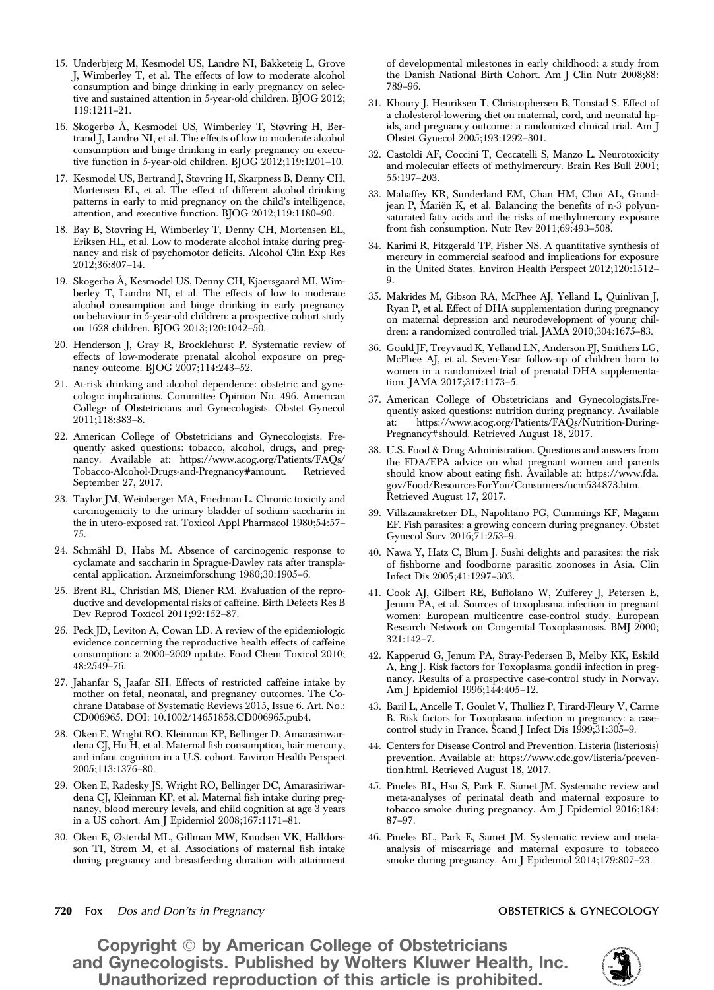- 15. Underbjerg M, Kesmodel US, Landrø NI, Bakketeig L, Grove J, Wimberley T, et al. The effects of low to moderate alcohol consumption and binge drinking in early pregnancy on selective and sustained attention in 5-year-old children. BJOG 2012; 119:1211–21.
- 16. Skogerbø Å, Kesmodel US, Wimberley T, Støvring H, Bertrand J, Landrø NI, et al. The effects of low to moderate alcohol consumption and binge drinking in early pregnancy on executive function in 5-year-old children. BJOG 2012;119:1201–10.
- 17. Kesmodel US, Bertrand J, Støvring H, Skarpness B, Denny CH, Mortensen EL, et al. The effect of different alcohol drinking patterns in early to mid pregnancy on the child's intelligence, attention, and executive function. BJOG 2012;119:1180–90.
- 18. Bay B, Støvring H, Wimberley T, Denny CH, Mortensen EL, Eriksen HL, et al. Low to moderate alcohol intake during pregnancy and risk of psychomotor deficits. Alcohol Clin Exp Res 2012;36:807–14.
- 19. Skogerbø Å, Kesmodel US, Denny CH, Kjaersgaard MI, Wimberley T, Landrø NI, et al. The effects of low to moderate alcohol consumption and binge drinking in early pregnancy on behaviour in 5-year-old children: a prospective cohort study on 1628 children. BJOG 2013;120:1042–50.
- 20. Henderson J, Gray R, Brocklehurst P. Systematic review of effects of low-moderate prenatal alcohol exposure on pregnancy outcome. BJOG 2007;114:243–52.
- 21. At-risk drinking and alcohol dependence: obstetric and gynecologic implications. Committee Opinion No. 496. American College of Obstetricians and Gynecologists. Obstet Gynecol 2011;118:383–8.
- 22. American College of Obstetricians and Gynecologists. Frequently asked questions: tobacco, alcohol, drugs, and pregnancy. Available at: [https://www.acog.org/Patients/FAQs/](https://www.acog.org/Patients/FAQs/Tobacco-Alcohol-Drugs-and-Pregnancy#amount) [Tobacco-Alcohol-Drugs-and-Pregnancy#amount.](https://www.acog.org/Patients/FAQs/Tobacco-Alcohol-Drugs-and-Pregnancy#amount) Retrieved September 27, 2017.
- 23. Taylor JM, Weinberger MA, Friedman L. Chronic toxicity and carcinogenicity to the urinary bladder of sodium saccharin in the in utero-exposed rat. Toxicol Appl Pharmacol 1980;54:57– 75.
- 24. Schmähl D, Habs M. Absence of carcinogenic response to cyclamate and saccharin in Sprague-Dawley rats after transplacental application. Arzneimforschung 1980;30:1905–6.
- 25. Brent RL, Christian MS, Diener RM. Evaluation of the reproductive and developmental risks of caffeine. Birth Defects Res B Dev Reprod Toxicol 2011;92:152–87.
- 26. Peck JD, Leviton A, Cowan LD. A review of the epidemiologic evidence concerning the reproductive health effects of caffeine consumption: a 2000–2009 update. Food Chem Toxicol 2010; 48:2549–76.
- 27. Jahanfar S, Jaafar SH. Effects of restricted caffeine intake by mother on fetal, neonatal, and pregnancy outcomes. The Cochrane Database of Systematic Reviews 2015, Issue 6. Art. No.: CD006965. DOI: 10.1002/14651858.CD006965.pub4.
- 28. Oken E, Wright RO, Kleinman KP, Bellinger D, Amarasiriwardena CJ, Hu H, et al. Maternal fish consumption, hair mercury, and infant cognition in a U.S. cohort. Environ Health Perspect 2005;113:1376–80.
- 29. Oken E, Radesky JS, Wright RO, Bellinger DC, Amarasiriwardena CJ, Kleinman KP, et al. Maternal fish intake during pregnancy, blood mercury levels, and child cognition at age 3 years in a US cohort. Am J Epidemiol 2008;167:1171–81.
- 30. Oken E, Østerdal ML, Gillman MW, Knudsen VK, Halldorsson TI, Strøm M, et al. Associations of maternal fish intake during pregnancy and breastfeeding duration with attainment

of developmental milestones in early childhood: a study from the Danish National Birth Cohort. Am J Clin Nutr 2008;88: 789–96.

- 31. Khoury J, Henriksen T, Christophersen B, Tonstad S. Effect of a cholesterol-lowering diet on maternal, cord, and neonatal lipids, and pregnancy outcome: a randomized clinical trial. Am J Obstet Gynecol 2005;193:1292–301.
- 32. Castoldi AF, Coccini T, Ceccatelli S, Manzo L. Neurotoxicity and molecular effects of methylmercury. Brain Res Bull 2001; 55:197–203.
- 33. Mahaffey KR, Sunderland EM, Chan HM, Choi AL, Grandjean P, Mariën K, et al. Balancing the benefits of n-3 polyunsaturated fatty acids and the risks of methylmercury exposure from fish consumption. Nutr Rev 2011;69:493–508.
- 34. Karimi R, Fitzgerald TP, Fisher NS. A quantitative synthesis of mercury in commercial seafood and implications for exposure in the United States. Environ Health Perspect 2012;120:1512– 9.
- 35. Makrides M, Gibson RA, McPhee AJ, Yelland L, Quinlivan J, Ryan P, et al. Effect of DHA supplementation during pregnancy on maternal depression and neurodevelopment of young children: a randomized controlled trial. JAMA 2010;304:1675–83.
- 36. Gould JF, Treyvaud K, Yelland LN, Anderson PJ, Smithers LG, McPhee AJ, et al. Seven-Year follow-up of children born to women in a randomized trial of prenatal DHA supplementation. JAMA 2017;317:1173–5.
- 37. American College of Obstetricians and Gynecologists.Frequently asked questions: nutrition during pregnancy. Available at: [https://www.acog.org/Patients/FAQs/Nutrition-During-](https://www.acog.org/Patients/FAQs/Nutrition-During-Pregnancy#should)[Pregnancy#should](https://www.acog.org/Patients/FAQs/Nutrition-During-Pregnancy#should). Retrieved August 18, 2017.
- 38. U.S. Food & Drug Administration. Questions and answers from the FDA/EPA advice on what pregnant women and parents should know about eating fish. Available at: [https://www.fda.](https://www.fda.gov/Food/ResourcesForYou/Consumers/ucm534873.htm) [gov/Food/ResourcesForYou/Consumers/ucm534873.htm.](https://www.fda.gov/Food/ResourcesForYou/Consumers/ucm534873.htm) Retrieved August 17, 2017.
- 39. Villazanakretzer DL, Napolitano PG, Cummings KF, Magann EF. Fish parasites: a growing concern during pregnancy. Obstet Gynecol Surv 2016;71:253–9.
- 40. Nawa Y, Hatz C, Blum J. Sushi delights and parasites: the risk of fishborne and foodborne parasitic zoonoses in Asia. Clin Infect Dis 2005;41:1297–303.
- 41. Cook AJ, Gilbert RE, Buffolano W, Zufferey J, Petersen E, Jenum PA, et al. Sources of toxoplasma infection in pregnant women: European multicentre case-control study. European Research Network on Congenital Toxoplasmosis. BMJ 2000; 321:142–7.
- 42. Kapperud G, Jenum PA, Stray-Pedersen B, Melby KK, Eskild A, Eng J. Risk factors for Toxoplasma gondii infection in pregnancy. Results of a prospective case-control study in Norway. Am J Epidemiol 1996;144:405–12.
- 43. Baril L, Ancelle T, Goulet V, Thulliez P, Tirard-Fleury V, Carme B. Risk factors for Toxoplasma infection in pregnancy: a casecontrol study in France. Scand J Infect Dis 1999;31:305-9.
- 44. Centers for Disease Control and Prevention. Listeria (listeriosis) prevention. Available at: [https://www.cdc.gov/listeria/preven](https://www.cdc.gov/listeria/prevention.html)[tion.html.](https://www.cdc.gov/listeria/prevention.html) Retrieved August 18, 2017.
- 45. Pineles BL, Hsu S, Park E, Samet JM. Systematic review and meta-analyses of perinatal death and maternal exposure to tobacco smoke during pregnancy. Am J Epidemiol 2016;184: 87–97.
- 46. Pineles BL, Park E, Samet JM. Systematic review and metaanalysis of miscarriage and maternal exposure to tobacco smoke during pregnancy. Am J Epidemiol 2014;179:807–23.
- 720 Fox Dos and Don'ts in Pregnancy **Contains a COSTETRICS & GYNECOLOGY**